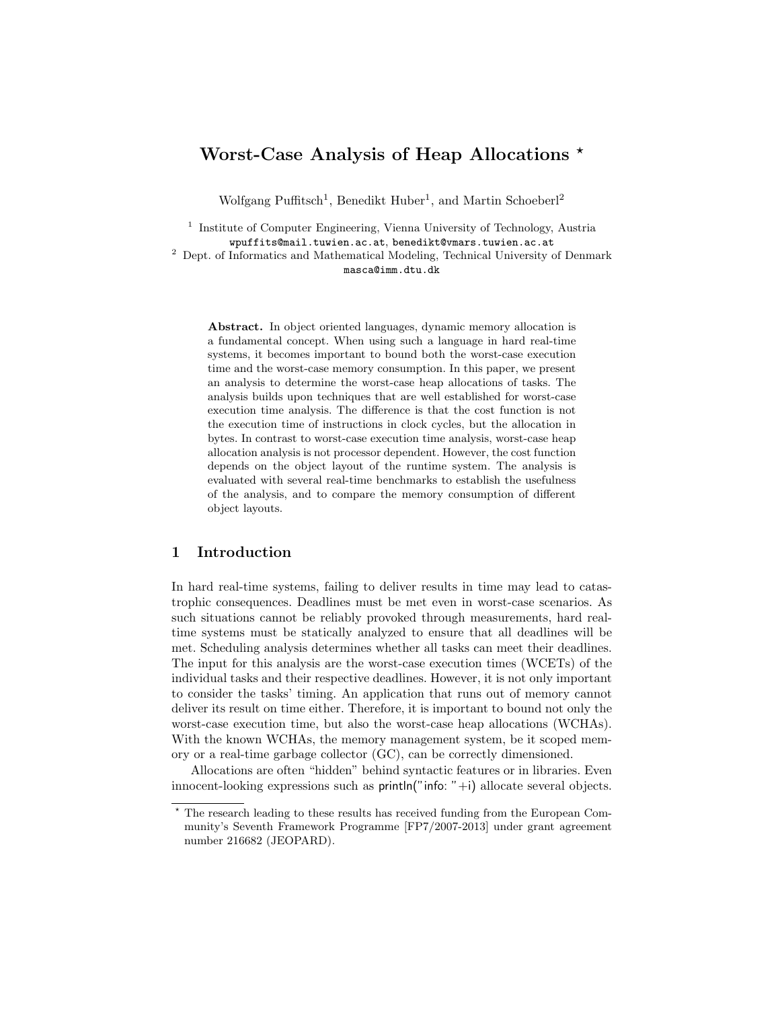# Worst-Case Analysis of Heap Allocations  $\star$

Wolfgang Puffitsch<sup>1</sup>, Benedikt Huber<sup>1</sup>, and Martin Schoeberl<sup>2</sup>

<sup>1</sup> Institute of Computer Engineering, Vienna University of Technology, Austria wpuffits@mail.tuwien.ac.at, benedikt@vmars.tuwien.ac.at

<sup>2</sup> Dept. of Informatics and Mathematical Modeling, Technical University of Denmark masca@imm.dtu.dk

Abstract. In object oriented languages, dynamic memory allocation is a fundamental concept. When using such a language in hard real-time systems, it becomes important to bound both the worst-case execution time and the worst-case memory consumption. In this paper, we present an analysis to determine the worst-case heap allocations of tasks. The analysis builds upon techniques that are well established for worst-case execution time analysis. The difference is that the cost function is not the execution time of instructions in clock cycles, but the allocation in bytes. In contrast to worst-case execution time analysis, worst-case heap allocation analysis is not processor dependent. However, the cost function depends on the object layout of the runtime system. The analysis is evaluated with several real-time benchmarks to establish the usefulness of the analysis, and to compare the memory consumption of different object layouts.

# 1 Introduction

In hard real-time systems, failing to deliver results in time may lead to catastrophic consequences. Deadlines must be met even in worst-case scenarios. As such situations cannot be reliably provoked through measurements, hard realtime systems must be statically analyzed to ensure that all deadlines will be met. Scheduling analysis determines whether all tasks can meet their deadlines. The input for this analysis are the worst-case execution times (WCETs) of the individual tasks and their respective deadlines. However, it is not only important to consider the tasks' timing. An application that runs out of memory cannot deliver its result on time either. Therefore, it is important to bound not only the worst-case execution time, but also the worst-case heap allocations (WCHAs). With the known WCHAs, the memory management system, be it scoped memory or a real-time garbage collector (GC), can be correctly dimensioned.

Allocations are often "hidden" behind syntactic features or in libraries. Even innocent-looking expressions such as  $\text{print}($ " info: " $+i$ ) allocate several objects.

<sup>?</sup> The research leading to these results has received funding from the European Community's Seventh Framework Programme [FP7/2007-2013] under grant agreement number 216682 (JEOPARD).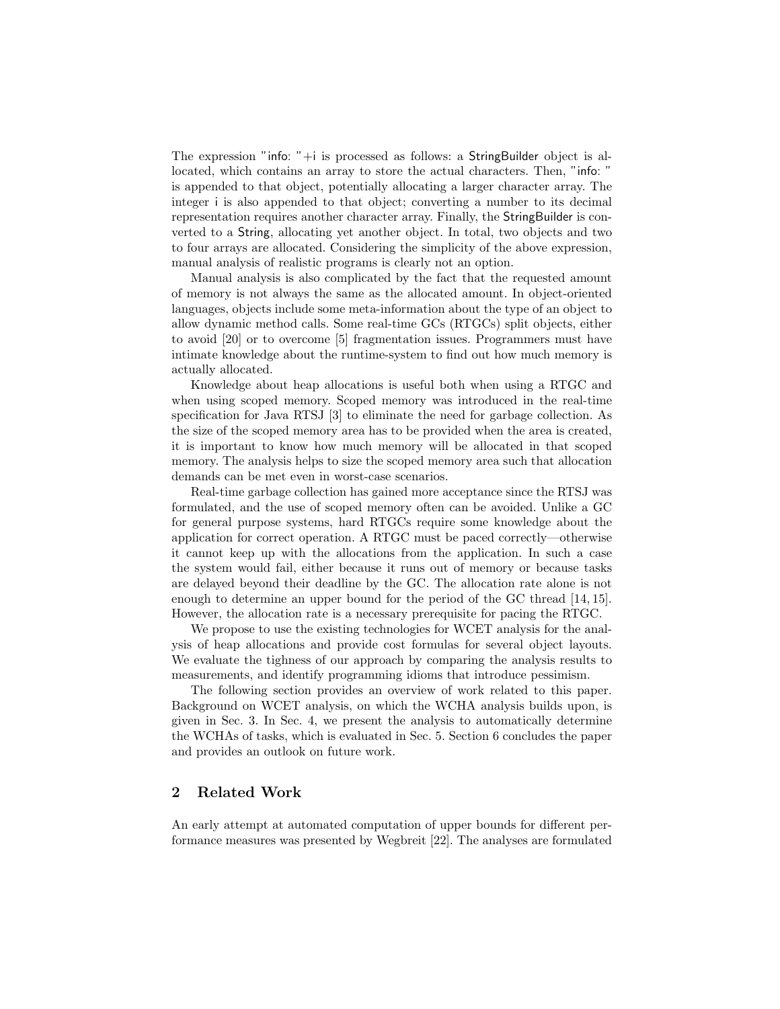The expression "info: "+i is processed as follows: a StringBuilder object is allocated, which contains an array to store the actual characters. Then, "info: " is appended to that object, potentially allocating a larger character array. The integer i is also appended to that object; converting a number to its decimal representation requires another character array. Finally, the StringBuilder is converted to a String, allocating yet another object. In total, two objects and two to four arrays are allocated. Considering the simplicity of the above expression, manual analysis of realistic programs is clearly not an option.

Manual analysis is also complicated by the fact that the requested amount of memory is not always the same as the allocated amount. In object-oriented languages, objects include some meta-information about the type of an object to allow dynamic method calls. Some real-time GCs (RTGCs) split objects, either to avoid [20] or to overcome [5] fragmentation issues. Programmers must have intimate knowledge about the runtime-system to find out how much memory is actually allocated.

Knowledge about heap allocations is useful both when using a RTGC and when using scoped memory. Scoped memory was introduced in the real-time specification for Java RTSJ [3] to eliminate the need for garbage collection. As the size of the scoped memory area has to be provided when the area is created, it is important to know how much memory will be allocated in that scoped memory. The analysis helps to size the scoped memory area such that allocation demands can be met even in worst-case scenarios.

Real-time garbage collection has gained more acceptance since the RTSJ was formulated, and the use of scoped memory often can be avoided. Unlike a GC for general purpose systems, hard RTGCs require some knowledge about the application for correct operation. A RTGC must be paced correctly—otherwise it cannot keep up with the allocations from the application. In such a case the system would fail, either because it runs out of memory or because tasks are delayed beyond their deadline by the GC. The allocation rate alone is not enough to determine an upper bound for the period of the GC thread [14, 15]. However, the allocation rate is a necessary prerequisite for pacing the RTGC.

We propose to use the existing technologies for WCET analysis for the analysis of heap allocations and provide cost formulas for several object layouts. We evaluate the tighness of our approach by comparing the analysis results to measurements, and identify programming idioms that introduce pessimism.

The following section provides an overview of work related to this paper. Background on WCET analysis, on which the WCHA analysis builds upon, is given in Sec. 3. In Sec. 4, we present the analysis to automatically determine the WCHAs of tasks, which is evaluated in Sec. 5. Section 6 concludes the paper and provides an outlook on future work.

# 2 Related Work

An early attempt at automated computation of upper bounds for different performance measures was presented by Wegbreit [22]. The analyses are formulated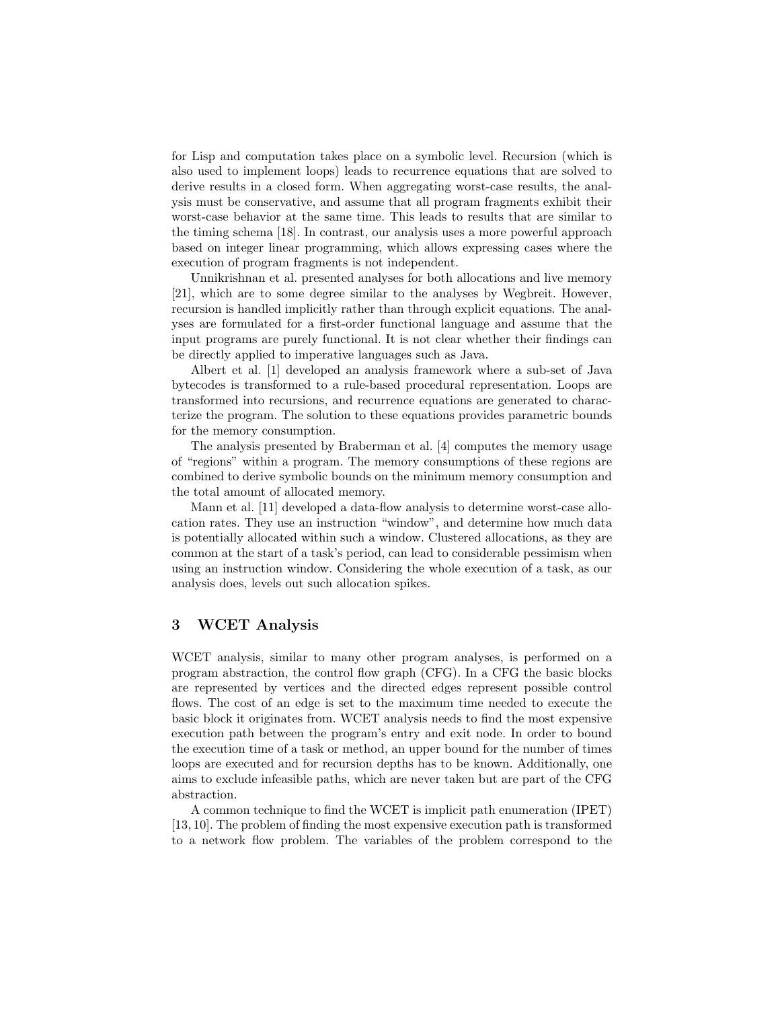for Lisp and computation takes place on a symbolic level. Recursion (which is also used to implement loops) leads to recurrence equations that are solved to derive results in a closed form. When aggregating worst-case results, the analysis must be conservative, and assume that all program fragments exhibit their worst-case behavior at the same time. This leads to results that are similar to the timing schema [18]. In contrast, our analysis uses a more powerful approach based on integer linear programming, which allows expressing cases where the execution of program fragments is not independent.

Unnikrishnan et al. presented analyses for both allocations and live memory [21], which are to some degree similar to the analyses by Wegbreit. However, recursion is handled implicitly rather than through explicit equations. The analyses are formulated for a first-order functional language and assume that the input programs are purely functional. It is not clear whether their findings can be directly applied to imperative languages such as Java.

Albert et al. [1] developed an analysis framework where a sub-set of Java bytecodes is transformed to a rule-based procedural representation. Loops are transformed into recursions, and recurrence equations are generated to characterize the program. The solution to these equations provides parametric bounds for the memory consumption.

The analysis presented by Braberman et al. [4] computes the memory usage of "regions" within a program. The memory consumptions of these regions are combined to derive symbolic bounds on the minimum memory consumption and the total amount of allocated memory.

Mann et al. [11] developed a data-flow analysis to determine worst-case allocation rates. They use an instruction "window", and determine how much data is potentially allocated within such a window. Clustered allocations, as they are common at the start of a task's period, can lead to considerable pessimism when using an instruction window. Considering the whole execution of a task, as our analysis does, levels out such allocation spikes.

### 3 WCET Analysis

WCET analysis, similar to many other program analyses, is performed on a program abstraction, the control flow graph (CFG). In a CFG the basic blocks are represented by vertices and the directed edges represent possible control flows. The cost of an edge is set to the maximum time needed to execute the basic block it originates from. WCET analysis needs to find the most expensive execution path between the program's entry and exit node. In order to bound the execution time of a task or method, an upper bound for the number of times loops are executed and for recursion depths has to be known. Additionally, one aims to exclude infeasible paths, which are never taken but are part of the CFG abstraction.

A common technique to find the WCET is implicit path enumeration (IPET) [13, 10]. The problem of finding the most expensive execution path is transformed to a network flow problem. The variables of the problem correspond to the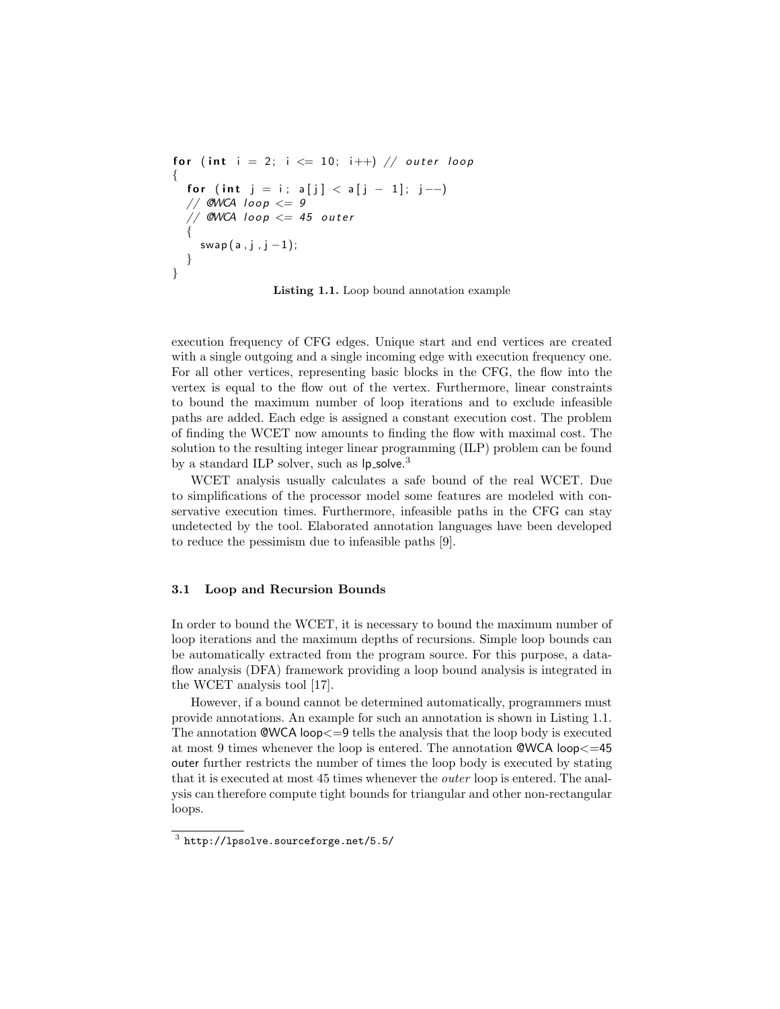```
for (int i = 2; i \le 10; i++) // outer loop
{
  for (int j = i; a[j] < a[j - 1]; j--)
  // \alphaWCA loop \leq 9
  1/ @WCA loop \lt= 45 outer
  {
    swap(a, j, j - 1);}
}
```
Listing 1.1. Loop bound annotation example

execution frequency of CFG edges. Unique start and end vertices are created with a single outgoing and a single incoming edge with execution frequency one. For all other vertices, representing basic blocks in the CFG, the flow into the vertex is equal to the flow out of the vertex. Furthermore, linear constraints to bound the maximum number of loop iterations and to exclude infeasible paths are added. Each edge is assigned a constant execution cost. The problem of finding the WCET now amounts to finding the flow with maximal cost. The solution to the resulting integer linear programming (ILP) problem can be found by a standard ILP solver, such as  $lp\_solve.^3$ 

WCET analysis usually calculates a safe bound of the real WCET. Due to simplifications of the processor model some features are modeled with conservative execution times. Furthermore, infeasible paths in the CFG can stay undetected by the tool. Elaborated annotation languages have been developed to reduce the pessimism due to infeasible paths [9].

#### 3.1 Loop and Recursion Bounds

In order to bound the WCET, it is necessary to bound the maximum number of loop iterations and the maximum depths of recursions. Simple loop bounds can be automatically extracted from the program source. For this purpose, a dataflow analysis (DFA) framework providing a loop bound analysis is integrated in the WCET analysis tool [17].

However, if a bound cannot be determined automatically, programmers must provide annotations. An example for such an annotation is shown in Listing 1.1. The annotation  $\mathsf{QWCA}$  loop $\leq=9$  tells the analysis that the loop body is executed at most 9 times whenever the loop is entered. The annotation @WCA loop<=45 outer further restricts the number of times the loop body is executed by stating that it is executed at most 45 times whenever the outer loop is entered. The analysis can therefore compute tight bounds for triangular and other non-rectangular loops.

 $^3$  http://lpsolve.sourceforge.net/5.5/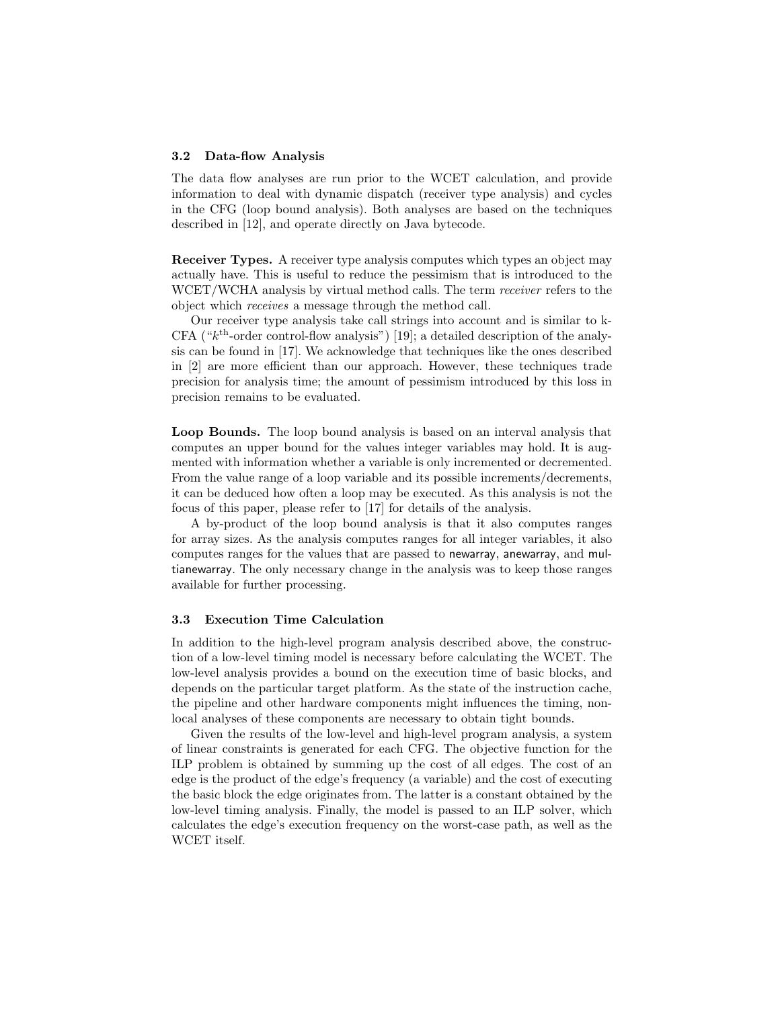#### 3.2 Data-flow Analysis

The data flow analyses are run prior to the WCET calculation, and provide information to deal with dynamic dispatch (receiver type analysis) and cycles in the CFG (loop bound analysis). Both analyses are based on the techniques described in [12], and operate directly on Java bytecode.

Receiver Types. A receiver type analysis computes which types an object may actually have. This is useful to reduce the pessimism that is introduced to the WCET/WCHA analysis by virtual method calls. The term *receiver* refers to the object which receives a message through the method call.

Our receiver type analysis take call strings into account and is similar to k-CFA (" $k^{\text{th}}$ -order control-flow analysis") [19]; a detailed description of the analysis can be found in [17]. We acknowledge that techniques like the ones described in [2] are more efficient than our approach. However, these techniques trade precision for analysis time; the amount of pessimism introduced by this loss in precision remains to be evaluated.

Loop Bounds. The loop bound analysis is based on an interval analysis that computes an upper bound for the values integer variables may hold. It is augmented with information whether a variable is only incremented or decremented. From the value range of a loop variable and its possible increments/decrements, it can be deduced how often a loop may be executed. As this analysis is not the focus of this paper, please refer to [17] for details of the analysis.

A by-product of the loop bound analysis is that it also computes ranges for array sizes. As the analysis computes ranges for all integer variables, it also computes ranges for the values that are passed to newarray, anewarray, and multianewarray. The only necessary change in the analysis was to keep those ranges available for further processing.

#### 3.3 Execution Time Calculation

In addition to the high-level program analysis described above, the construction of a low-level timing model is necessary before calculating the WCET. The low-level analysis provides a bound on the execution time of basic blocks, and depends on the particular target platform. As the state of the instruction cache, the pipeline and other hardware components might influences the timing, nonlocal analyses of these components are necessary to obtain tight bounds.

Given the results of the low-level and high-level program analysis, a system of linear constraints is generated for each CFG. The objective function for the ILP problem is obtained by summing up the cost of all edges. The cost of an edge is the product of the edge's frequency (a variable) and the cost of executing the basic block the edge originates from. The latter is a constant obtained by the low-level timing analysis. Finally, the model is passed to an ILP solver, which calculates the edge's execution frequency on the worst-case path, as well as the WCET itself.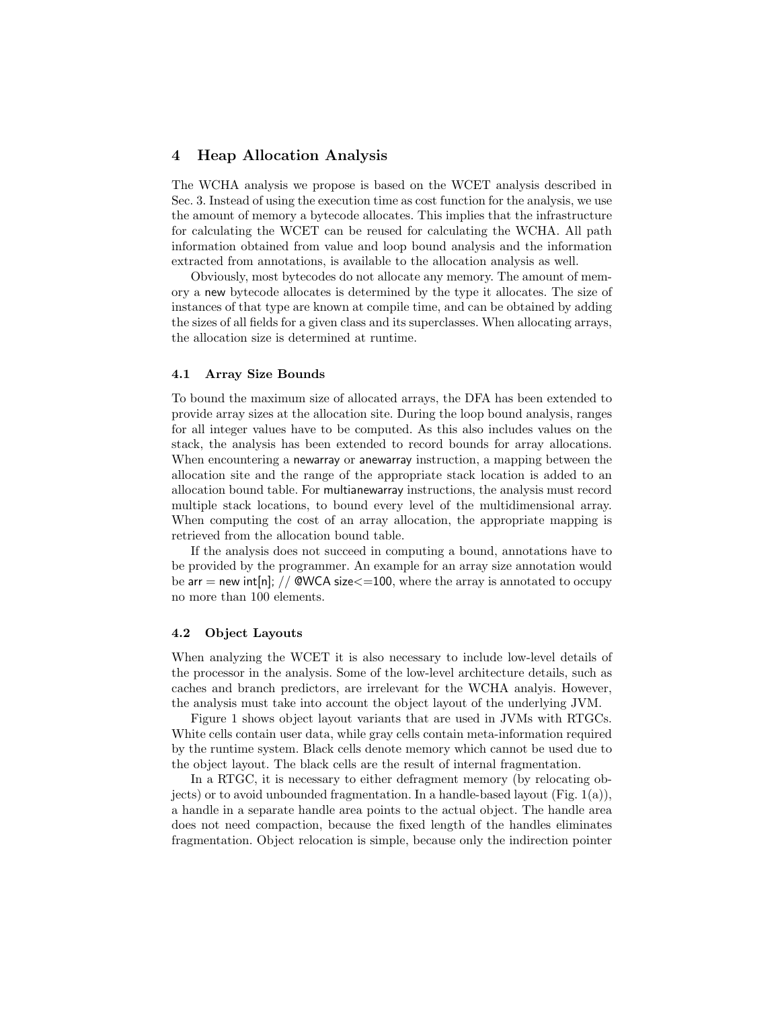# 4 Heap Allocation Analysis

The WCHA analysis we propose is based on the WCET analysis described in Sec. 3. Instead of using the execution time as cost function for the analysis, we use the amount of memory a bytecode allocates. This implies that the infrastructure for calculating the WCET can be reused for calculating the WCHA. All path information obtained from value and loop bound analysis and the information extracted from annotations, is available to the allocation analysis as well.

Obviously, most bytecodes do not allocate any memory. The amount of memory a new bytecode allocates is determined by the type it allocates. The size of instances of that type are known at compile time, and can be obtained by adding the sizes of all fields for a given class and its superclasses. When allocating arrays, the allocation size is determined at runtime.

#### 4.1 Array Size Bounds

To bound the maximum size of allocated arrays, the DFA has been extended to provide array sizes at the allocation site. During the loop bound analysis, ranges for all integer values have to be computed. As this also includes values on the stack, the analysis has been extended to record bounds for array allocations. When encountering a newarray or anewarray instruction, a mapping between the allocation site and the range of the appropriate stack location is added to an allocation bound table. For multianewarray instructions, the analysis must record multiple stack locations, to bound every level of the multidimensional array. When computing the cost of an array allocation, the appropriate mapping is retrieved from the allocation bound table.

If the analysis does not succeed in computing a bound, annotations have to be provided by the programmer. An example for an array size annotation would be arr = new int[n]; // QWCA size $\leq$ =100, where the array is annotated to occupy no more than 100 elements.

#### 4.2 Object Layouts

When analyzing the WCET it is also necessary to include low-level details of the processor in the analysis. Some of the low-level architecture details, such as caches and branch predictors, are irrelevant for the WCHA analyis. However, the analysis must take into account the object layout of the underlying JVM.

Figure 1 shows object layout variants that are used in JVMs with RTGCs. White cells contain user data, while gray cells contain meta-information required by the runtime system. Black cells denote memory which cannot be used due to the object layout. The black cells are the result of internal fragmentation.

In a RTGC, it is necessary to either defragment memory (by relocating objects) or to avoid unbounded fragmentation. In a handle-based layout  $(Fig, 1(a))$ , a handle in a separate handle area points to the actual object. The handle area does not need compaction, because the fixed length of the handles eliminates fragmentation. Object relocation is simple, because only the indirection pointer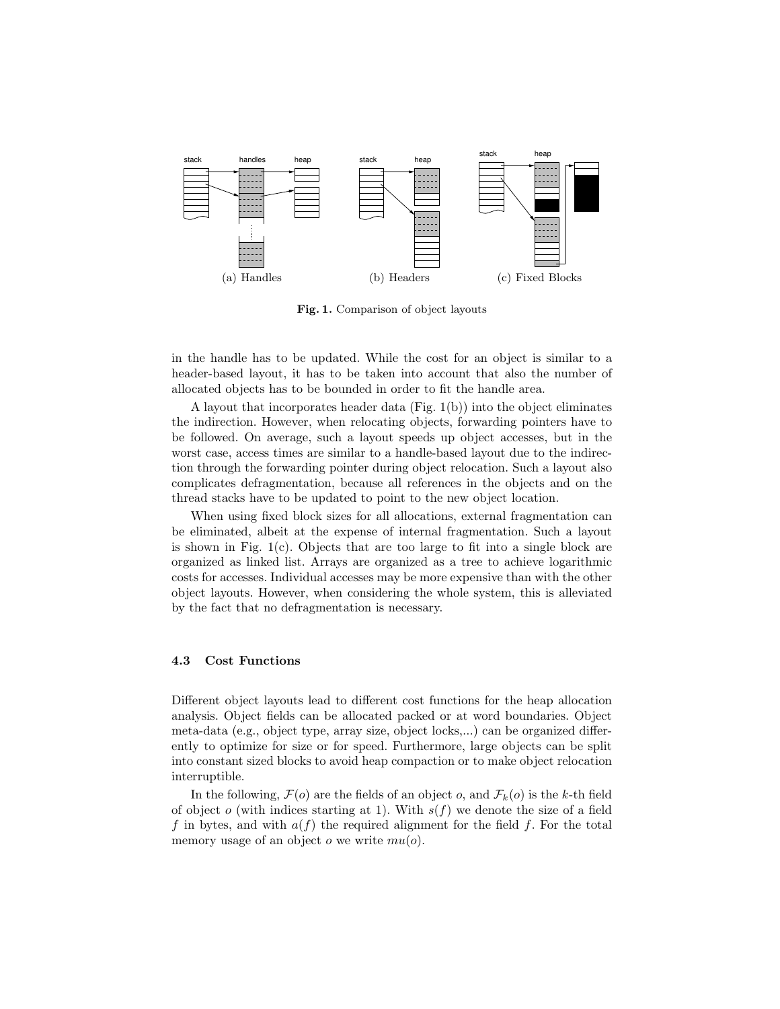

Fig. 1. Comparison of object layouts

in the handle has to be updated. While the cost for an object is similar to a header-based layout, it has to be taken into account that also the number of allocated objects has to be bounded in order to fit the handle area.

A layout that incorporates header data  $(Fig. 1(b))$  into the object eliminates the indirection. However, when relocating objects, forwarding pointers have to be followed. On average, such a layout speeds up object accesses, but in the worst case, access times are similar to a handle-based layout due to the indirection through the forwarding pointer during object relocation. Such a layout also complicates defragmentation, because all references in the objects and on the thread stacks have to be updated to point to the new object location.

When using fixed block sizes for all allocations, external fragmentation can be eliminated, albeit at the expense of internal fragmentation. Such a layout is shown in Fig. 1(c). Objects that are too large to fit into a single block are organized as linked list. Arrays are organized as a tree to achieve logarithmic costs for accesses. Individual accesses may be more expensive than with the other object layouts. However, when considering the whole system, this is alleviated by the fact that no defragmentation is necessary.

#### 4.3 Cost Functions

Different object layouts lead to different cost functions for the heap allocation analysis. Object fields can be allocated packed or at word boundaries. Object meta-data (e.g., object type, array size, object locks,...) can be organized differently to optimize for size or for speed. Furthermore, large objects can be split into constant sized blocks to avoid heap compaction or to make object relocation interruptible.

In the following,  $\mathcal{F}(o)$  are the fields of an object o, and  $\mathcal{F}_k(o)$  is the k-th field of object o (with indices starting at 1). With  $s(f)$  we denote the size of a field f in bytes, and with  $a(f)$  the required alignment for the field f. For the total memory usage of an object  $o$  we write  $mu(o)$ .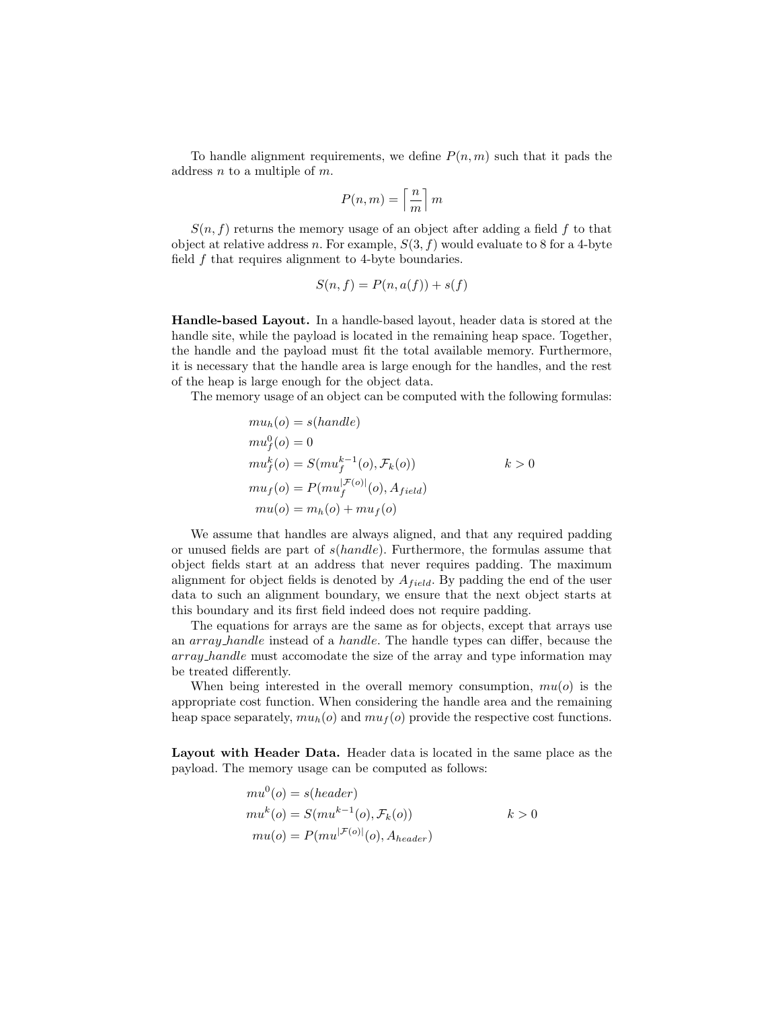To handle alignment requirements, we define  $P(n, m)$  such that it pads the address  $n$  to a multiple of  $m$ .

$$
P(n,m)=\left\lceil\frac{n}{m}\right\rceil m
$$

 $S(n, f)$  returns the memory usage of an object after adding a field f to that object at relative address n. For example,  $S(3, f)$  would evaluate to 8 for a 4-byte field  $f$  that requires alignment to 4-byte boundaries.

$$
S(n, f) = P(n, a(f)) + s(f)
$$

Handle-based Layout. In a handle-based layout, header data is stored at the handle site, while the payload is located in the remaining heap space. Together, the handle and the payload must fit the total available memory. Furthermore, it is necessary that the handle area is large enough for the handles, and the rest of the heap is large enough for the object data.

The memory usage of an object can be computed with the following formulas:

$$
mu_h(o) = s(handle)
$$
  
\n
$$
mu_f^0(o) = 0
$$
  
\n
$$
mu_f^k(o) = S(mu_f^{k-1}(o), \mathcal{F}_k(o))
$$
  
\n
$$
mu_f(o) = P(mu_f^{|\mathcal{F}(o)|}(o), A_{field})
$$
  
\n
$$
mu(o) = m_h(o) + mu_f(o)
$$

We assume that handles are always aligned, and that any required padding or unused fields are part of s(handle). Furthermore, the formulas assume that object fields start at an address that never requires padding. The maximum alignment for object fields is denoted by  $A_{field}$ . By padding the end of the user data to such an alignment boundary, we ensure that the next object starts at this boundary and its first field indeed does not require padding.

The equations for arrays are the same as for objects, except that arrays use an array handle instead of a handle. The handle types can differ, because the array handle must accomodate the size of the array and type information may be treated differently.

When being interested in the overall memory consumption,  $mu(o)$  is the appropriate cost function. When considering the handle area and the remaining heap space separately,  $mu_h(o)$  and  $mu_f(o)$  provide the respective cost functions.

Layout with Header Data. Header data is located in the same place as the payload. The memory usage can be computed as follows:

$$
mu^{0}(o) = s(header)
$$
  
\n
$$
mu^{k}(o) = S(mu^{k-1}(o), \mathcal{F}_{k}(o))
$$
  
\n
$$
mu(o) = P(mu^{|\mathcal{F}(o)|}(o), A_{header})
$$
  
\n
$$
k > 0
$$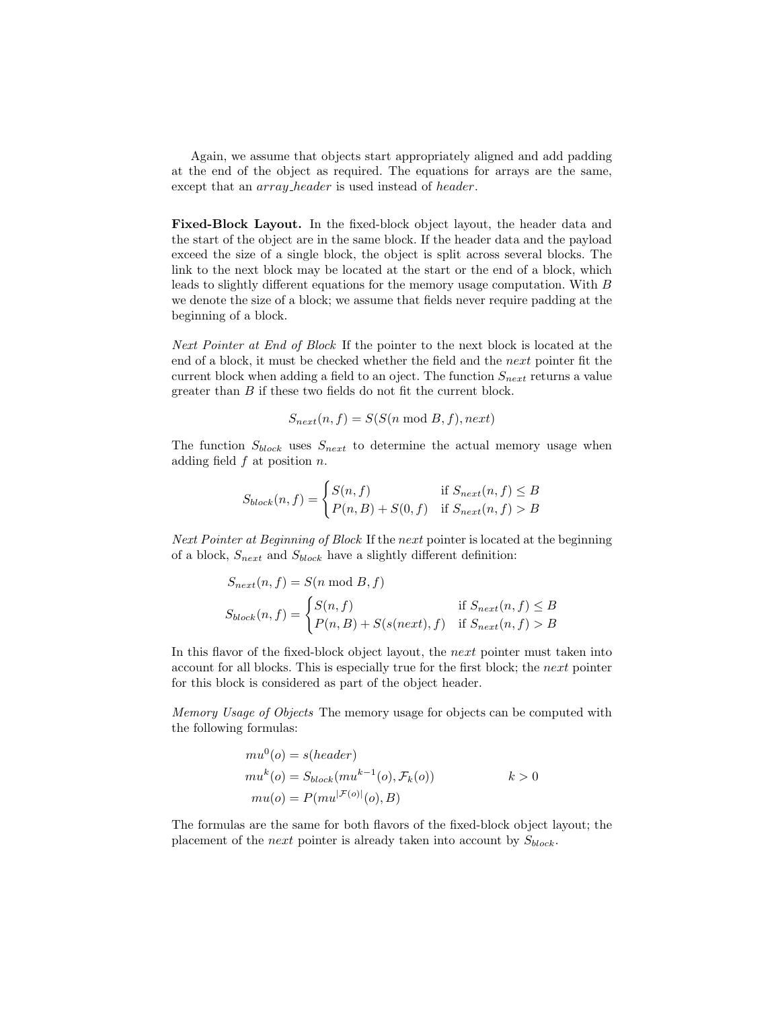Again, we assume that objects start appropriately aligned and add padding at the end of the object as required. The equations for arrays are the same, except that an *array\_header* is used instead of *header*.

Fixed-Block Layout. In the fixed-block object layout, the header data and the start of the object are in the same block. If the header data and the payload exceed the size of a single block, the object is split across several blocks. The link to the next block may be located at the start or the end of a block, which leads to slightly different equations for the memory usage computation. With B we denote the size of a block; we assume that fields never require padding at the beginning of a block.

Next Pointer at End of Block If the pointer to the next block is located at the end of a block, it must be checked whether the field and the next pointer fit the current block when adding a field to an oject. The function  $S_{next}$  returns a value greater than B if these two fields do not fit the current block.

$$
S_{next}(n, f) = S(S(n \bmod B, f), next)
$$

The function  $S_{block}$  uses  $S_{next}$  to determine the actual memory usage when adding field  $f$  at position  $n$ .

$$
S_{block}(n, f) = \begin{cases} S(n, f) & \text{if } S_{next}(n, f) \leq B \\ P(n, B) + S(0, f) & \text{if } S_{next}(n, f) > B \end{cases}
$$

Next Pointer at Beginning of Block If the next pointer is located at the beginning of a block,  $S_{next}$  and  $S_{block}$  have a slightly different definition:

$$
S_{next}(n, f) = S(n \mod B, f)
$$
  
\n
$$
S_{block}(n, f) = \begin{cases} S(n, f) & \text{if } S_{next}(n, f) \leq B \\ P(n, B) + S(s(next), f) & \text{if } S_{next}(n, f) > B \end{cases}
$$

In this flavor of the fixed-block object layout, the *next* pointer must taken into account for all blocks. This is especially true for the first block; the next pointer for this block is considered as part of the object header.

Memory Usage of Objects The memory usage for objects can be computed with the following formulas:

$$
mu^{0}(o) = s(header)
$$
  
\n
$$
mu^{k}(o) = S_{block}(mu^{k-1}(o), \mathcal{F}_{k}(o))
$$
  
\n
$$
mu(o) = P(mu^{|\mathcal{F}(o)|}(o), B)
$$
  
\n
$$
k > 0
$$

The formulas are the same for both flavors of the fixed-block object layout; the placement of the *next* pointer is already taken into account by  $S_{block}$ .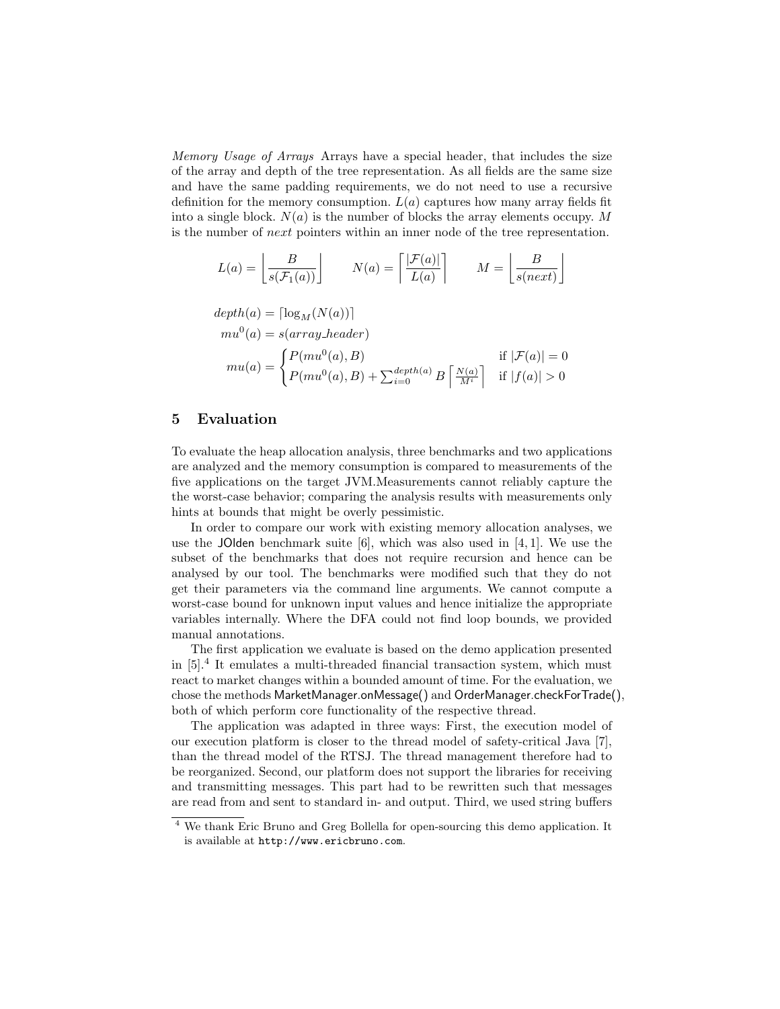Memory Usage of Arrays Arrays have a special header, that includes the size of the array and depth of the tree representation. As all fields are the same size and have the same padding requirements, we do not need to use a recursive definition for the memory consumption.  $L(a)$  captures how many array fields fit into a single block.  $N(a)$  is the number of blocks the array elements occupy. M is the number of next pointers within an inner node of the tree representation.

$$
L(a) = \left\lfloor \frac{B}{s(\mathcal{F}_1(a))} \right\rfloor \qquad N(a) = \left\lceil \frac{|\mathcal{F}(a)|}{L(a)} \right\rceil \qquad M = \left\lfloor \frac{B}{s(next)} \right\rfloor
$$

$$
depth(a) = \lceil \log_M(N(a)) \rceil
$$
  
\n
$$
mu^{0}(a) = s(array \text{,} \text{header})
$$
  
\n
$$
mu(a) = \begin{cases} P(mu^{0}(a), B) & \text{if } |\mathcal{F}(a)| = 0\\ P(mu^{0}(a), B) + \sum_{i=0}^{depth(a)} B\left\lceil \frac{N(a)}{M^{i}} \right\rceil & \text{if } |f(a)| > 0 \end{cases}
$$

# 5 Evaluation

To evaluate the heap allocation analysis, three benchmarks and two applications are analyzed and the memory consumption is compared to measurements of the five applications on the target JVM.Measurements cannot reliably capture the the worst-case behavior; comparing the analysis results with measurements only hints at bounds that might be overly pessimistic.

In order to compare our work with existing memory allocation analyses, we use the JOlden benchmark suite [6], which was also used in [4, 1]. We use the subset of the benchmarks that does not require recursion and hence can be analysed by our tool. The benchmarks were modified such that they do not get their parameters via the command line arguments. We cannot compute a worst-case bound for unknown input values and hence initialize the appropriate variables internally. Where the DFA could not find loop bounds, we provided manual annotations.

The first application we evaluate is based on the demo application presented in [5].<sup>4</sup> It emulates a multi-threaded financial transaction system, which must react to market changes within a bounded amount of time. For the evaluation, we chose the methods MarketManager.onMessage() and OrderManager.checkForTrade(), both of which perform core functionality of the respective thread.

The application was adapted in three ways: First, the execution model of our execution platform is closer to the thread model of safety-critical Java [7], than the thread model of the RTSJ. The thread management therefore had to be reorganized. Second, our platform does not support the libraries for receiving and transmitting messages. This part had to be rewritten such that messages are read from and sent to standard in- and output. Third, we used string buffers

<sup>4</sup> We thank Eric Bruno and Greg Bollella for open-sourcing this demo application. It is available at http://www.ericbruno.com.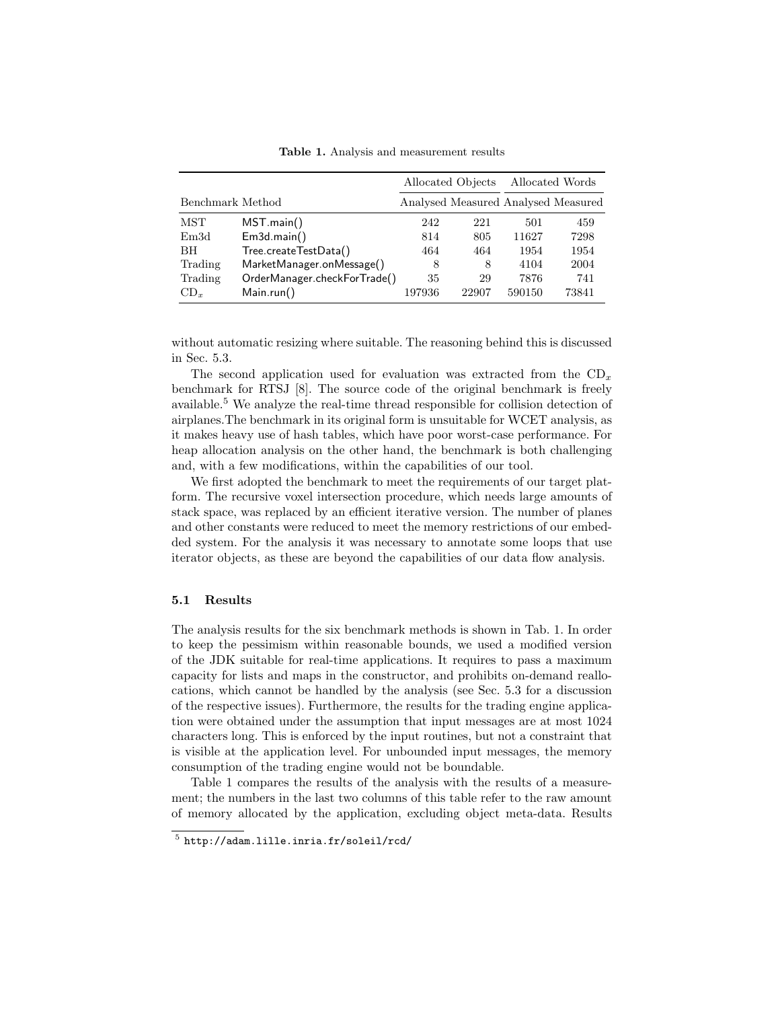|                  |                              | Allocated Objects |                                     | Allocated Words |       |
|------------------|------------------------------|-------------------|-------------------------------------|-----------------|-------|
| Benchmark Method |                              |                   | Analysed Measured Analysed Measured |                 |       |
| <b>MST</b>       | MST.min()                    | 242               | 221                                 | 501             | 459   |
| Em3d             | Em3d.main()                  | 814               | 805                                 | 11627           | 7298  |
| BH               | Tree.createTestData()        | 464               | 464                                 | 1954            | 1954  |
| Trading          | MarketManager.onMessage()    | 8                 | 8                                   | 4104            | 2004  |
| Trading          | OrderManager.checkForTrade() | 35                | 29                                  | 7876            | 741   |
| CD <sub>r</sub>  | Main.run()                   | 197936            | 22907                               | 590150          | 73841 |

Table 1. Analysis and measurement results

without automatic resizing where suitable. The reasoning behind this is discussed in Sec. 5.3.

The second application used for evaluation was extracted from the  $CD<sub>x</sub>$ benchmark for RTSJ [8]. The source code of the original benchmark is freely available.<sup>5</sup> We analyze the real-time thread responsible for collision detection of airplanes.The benchmark in its original form is unsuitable for WCET analysis, as it makes heavy use of hash tables, which have poor worst-case performance. For heap allocation analysis on the other hand, the benchmark is both challenging and, with a few modifications, within the capabilities of our tool.

We first adopted the benchmark to meet the requirements of our target platform. The recursive voxel intersection procedure, which needs large amounts of stack space, was replaced by an efficient iterative version. The number of planes and other constants were reduced to meet the memory restrictions of our embedded system. For the analysis it was necessary to annotate some loops that use iterator objects, as these are beyond the capabilities of our data flow analysis.

#### 5.1 Results

The analysis results for the six benchmark methods is shown in Tab. 1. In order to keep the pessimism within reasonable bounds, we used a modified version of the JDK suitable for real-time applications. It requires to pass a maximum capacity for lists and maps in the constructor, and prohibits on-demand reallocations, which cannot be handled by the analysis (see Sec. 5.3 for a discussion of the respective issues). Furthermore, the results for the trading engine application were obtained under the assumption that input messages are at most 1024 characters long. This is enforced by the input routines, but not a constraint that is visible at the application level. For unbounded input messages, the memory consumption of the trading engine would not be boundable.

Table 1 compares the results of the analysis with the results of a measurement; the numbers in the last two columns of this table refer to the raw amount of memory allocated by the application, excluding object meta-data. Results

 $^5$  http://adam.lille.inria.fr/soleil/rcd/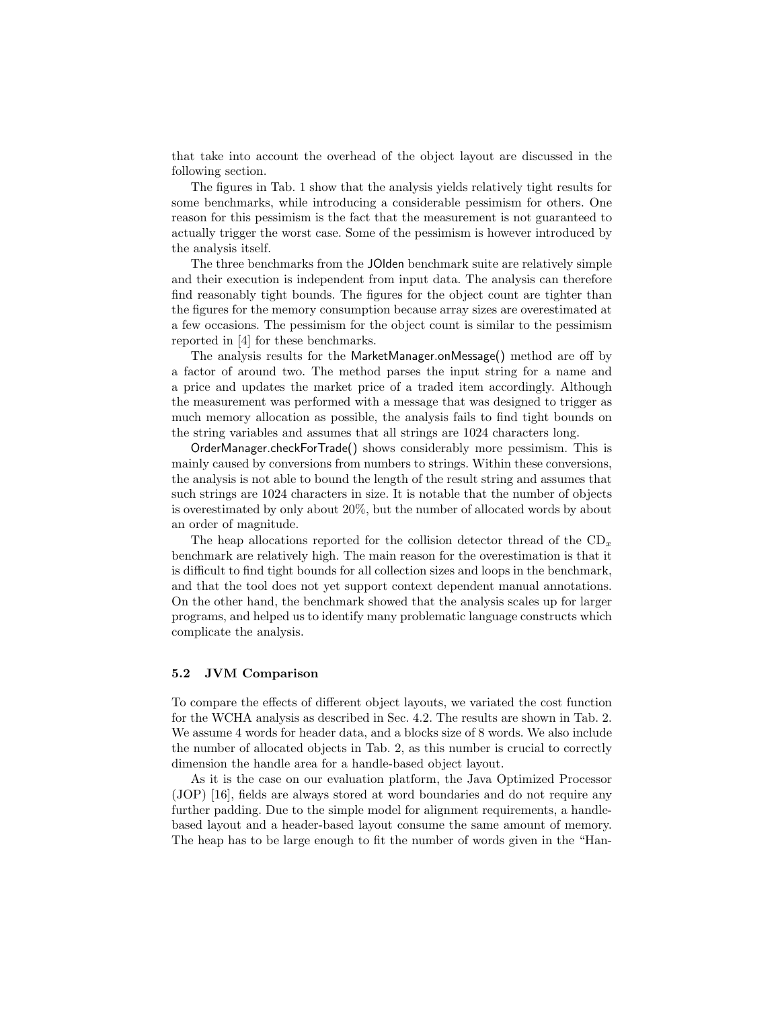that take into account the overhead of the object layout are discussed in the following section.

The figures in Tab. 1 show that the analysis yields relatively tight results for some benchmarks, while introducing a considerable pessimism for others. One reason for this pessimism is the fact that the measurement is not guaranteed to actually trigger the worst case. Some of the pessimism is however introduced by the analysis itself.

The three benchmarks from the JOlden benchmark suite are relatively simple and their execution is independent from input data. The analysis can therefore find reasonably tight bounds. The figures for the object count are tighter than the figures for the memory consumption because array sizes are overestimated at a few occasions. The pessimism for the object count is similar to the pessimism reported in [4] for these benchmarks.

The analysis results for the MarketManager.onMessage() method are off by a factor of around two. The method parses the input string for a name and a price and updates the market price of a traded item accordingly. Although the measurement was performed with a message that was designed to trigger as much memory allocation as possible, the analysis fails to find tight bounds on the string variables and assumes that all strings are 1024 characters long.

OrderManager.checkForTrade() shows considerably more pessimism. This is mainly caused by conversions from numbers to strings. Within these conversions, the analysis is not able to bound the length of the result string and assumes that such strings are 1024 characters in size. It is notable that the number of objects is overestimated by only about 20%, but the number of allocated words by about an order of magnitude.

The heap allocations reported for the collision detector thread of the  $CD<sub>x</sub>$ benchmark are relatively high. The main reason for the overestimation is that it is difficult to find tight bounds for all collection sizes and loops in the benchmark, and that the tool does not yet support context dependent manual annotations. On the other hand, the benchmark showed that the analysis scales up for larger programs, and helped us to identify many problematic language constructs which complicate the analysis.

#### 5.2 JVM Comparison

To compare the effects of different object layouts, we variated the cost function for the WCHA analysis as described in Sec. 4.2. The results are shown in Tab. 2. We assume 4 words for header data, and a blocks size of 8 words. We also include the number of allocated objects in Tab. 2, as this number is crucial to correctly dimension the handle area for a handle-based object layout.

As it is the case on our evaluation platform, the Java Optimized Processor (JOP) [16], fields are always stored at word boundaries and do not require any further padding. Due to the simple model for alignment requirements, a handlebased layout and a header-based layout consume the same amount of memory. The heap has to be large enough to fit the number of words given in the "Han-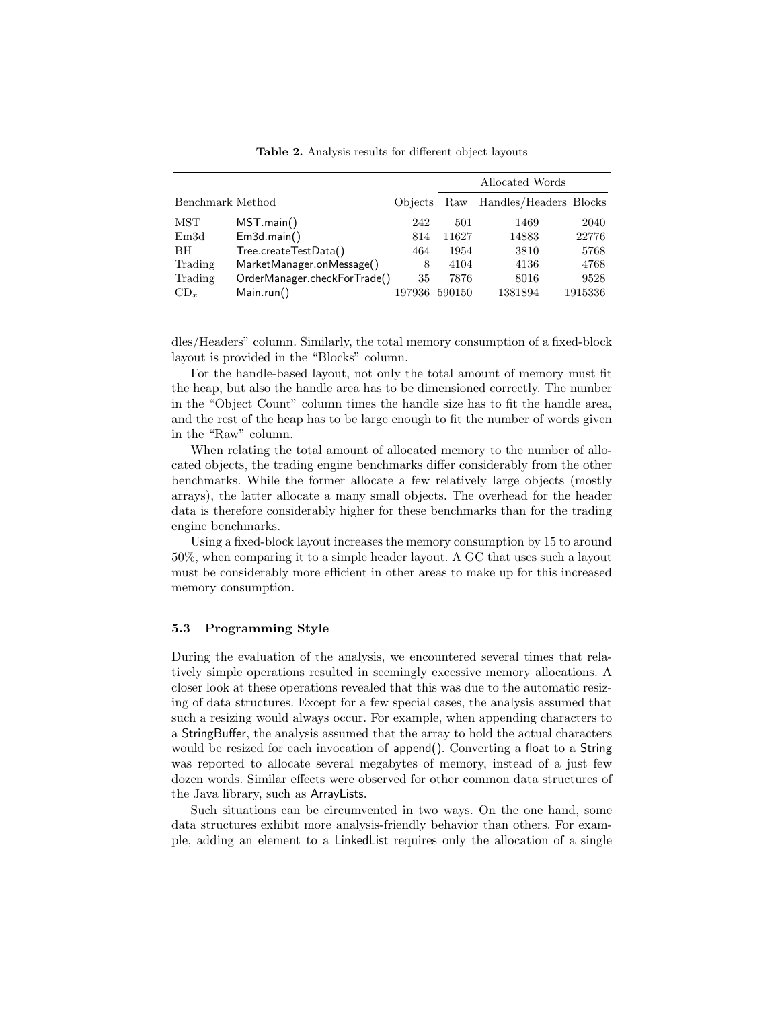|                  |                              |         |        | Allocated Words        |         |  |
|------------------|------------------------------|---------|--------|------------------------|---------|--|
| Benchmark Method |                              | Objects | Raw    | Handles/Headers Blocks |         |  |
| MST              | MST.mainloop()               | 242     | 501    | 1469                   | 2040    |  |
| Em3d             | Em3d.mainloop()              | 814     | 11627  | 14883                  | 22776   |  |
| BH               | Tree.createTestData()        | 464     | 1954   | 3810                   | 5768    |  |
| Trading          | MarketManager.onMessage()    | 8       | 4104   | 4136                   | 4768    |  |
| Trading          | OrderManager.checkForTrade() | 35      | 7876   | 8016                   | 9528    |  |
| CD <sub>r</sub>  | Main.run()                   | 197936  | 590150 | 1381894                | 1915336 |  |

Table 2. Analysis results for different object layouts

dles/Headers" column. Similarly, the total memory consumption of a fixed-block layout is provided in the "Blocks" column.

For the handle-based layout, not only the total amount of memory must fit the heap, but also the handle area has to be dimensioned correctly. The number in the "Object Count" column times the handle size has to fit the handle area, and the rest of the heap has to be large enough to fit the number of words given in the "Raw" column.

When relating the total amount of allocated memory to the number of allocated objects, the trading engine benchmarks differ considerably from the other benchmarks. While the former allocate a few relatively large objects (mostly arrays), the latter allocate a many small objects. The overhead for the header data is therefore considerably higher for these benchmarks than for the trading engine benchmarks.

Using a fixed-block layout increases the memory consumption by 15 to around 50%, when comparing it to a simple header layout. A GC that uses such a layout must be considerably more efficient in other areas to make up for this increased memory consumption.

### 5.3 Programming Style

During the evaluation of the analysis, we encountered several times that relatively simple operations resulted in seemingly excessive memory allocations. A closer look at these operations revealed that this was due to the automatic resizing of data structures. Except for a few special cases, the analysis assumed that such a resizing would always occur. For example, when appending characters to a StringBuffer, the analysis assumed that the array to hold the actual characters would be resized for each invocation of append(). Converting a float to a String was reported to allocate several megabytes of memory, instead of a just few dozen words. Similar effects were observed for other common data structures of the Java library, such as ArrayLists.

Such situations can be circumvented in two ways. On the one hand, some data structures exhibit more analysis-friendly behavior than others. For example, adding an element to a LinkedList requires only the allocation of a single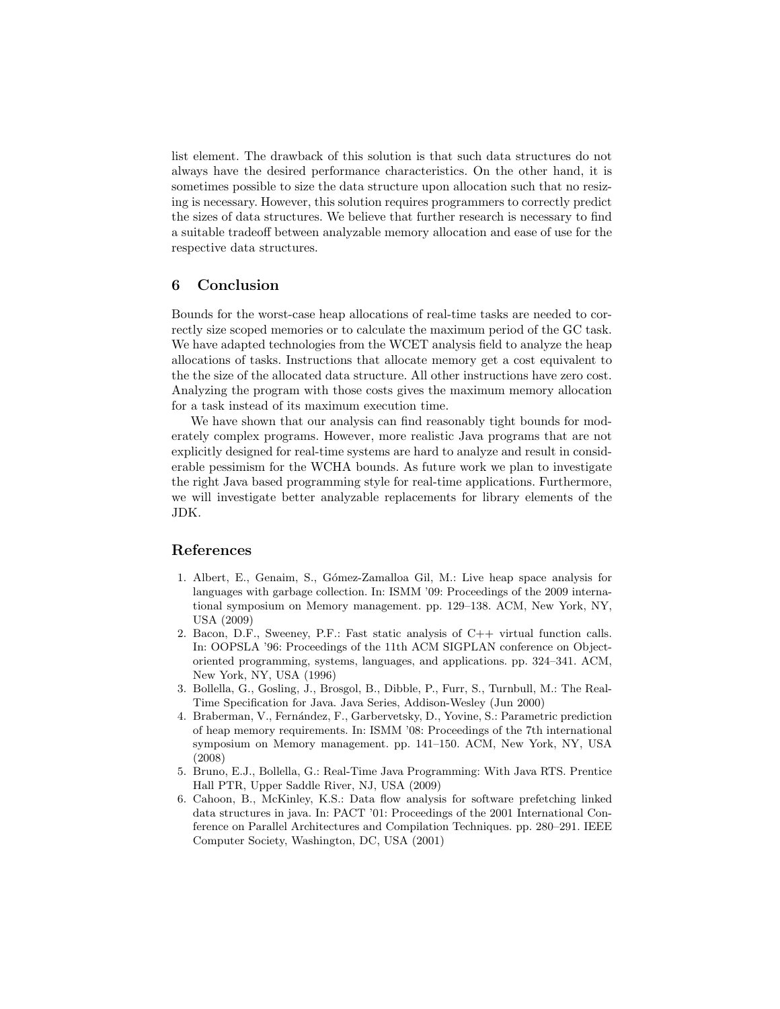list element. The drawback of this solution is that such data structures do not always have the desired performance characteristics. On the other hand, it is sometimes possible to size the data structure upon allocation such that no resizing is necessary. However, this solution requires programmers to correctly predict the sizes of data structures. We believe that further research is necessary to find a suitable tradeoff between analyzable memory allocation and ease of use for the respective data structures.

# 6 Conclusion

Bounds for the worst-case heap allocations of real-time tasks are needed to correctly size scoped memories or to calculate the maximum period of the GC task. We have adapted technologies from the WCET analysis field to analyze the heap allocations of tasks. Instructions that allocate memory get a cost equivalent to the the size of the allocated data structure. All other instructions have zero cost. Analyzing the program with those costs gives the maximum memory allocation for a task instead of its maximum execution time.

We have shown that our analysis can find reasonably tight bounds for moderately complex programs. However, more realistic Java programs that are not explicitly designed for real-time systems are hard to analyze and result in considerable pessimism for the WCHA bounds. As future work we plan to investigate the right Java based programming style for real-time applications. Furthermore, we will investigate better analyzable replacements for library elements of the JDK.

#### References

- 1. Albert, E., Genaim, S., G´omez-Zamalloa Gil, M.: Live heap space analysis for languages with garbage collection. In: ISMM '09: Proceedings of the 2009 international symposium on Memory management. pp. 129–138. ACM, New York, NY, USA (2009)
- 2. Bacon, D.F., Sweeney, P.F.: Fast static analysis of C++ virtual function calls. In: OOPSLA '96: Proceedings of the 11th ACM SIGPLAN conference on Objectoriented programming, systems, languages, and applications. pp. 324–341. ACM, New York, NY, USA (1996)
- 3. Bollella, G., Gosling, J., Brosgol, B., Dibble, P., Furr, S., Turnbull, M.: The Real-Time Specification for Java. Java Series, Addison-Wesley (Jun 2000)
- 4. Braberman, V., Fernández, F., Garbervetsky, D., Yovine, S.: Parametric prediction of heap memory requirements. In: ISMM '08: Proceedings of the 7th international symposium on Memory management. pp. 141–150. ACM, New York, NY, USA (2008)
- 5. Bruno, E.J., Bollella, G.: Real-Time Java Programming: With Java RTS. Prentice Hall PTR, Upper Saddle River, NJ, USA (2009)
- 6. Cahoon, B., McKinley, K.S.: Data flow analysis for software prefetching linked data structures in java. In: PACT '01: Proceedings of the 2001 International Conference on Parallel Architectures and Compilation Techniques. pp. 280–291. IEEE Computer Society, Washington, DC, USA (2001)